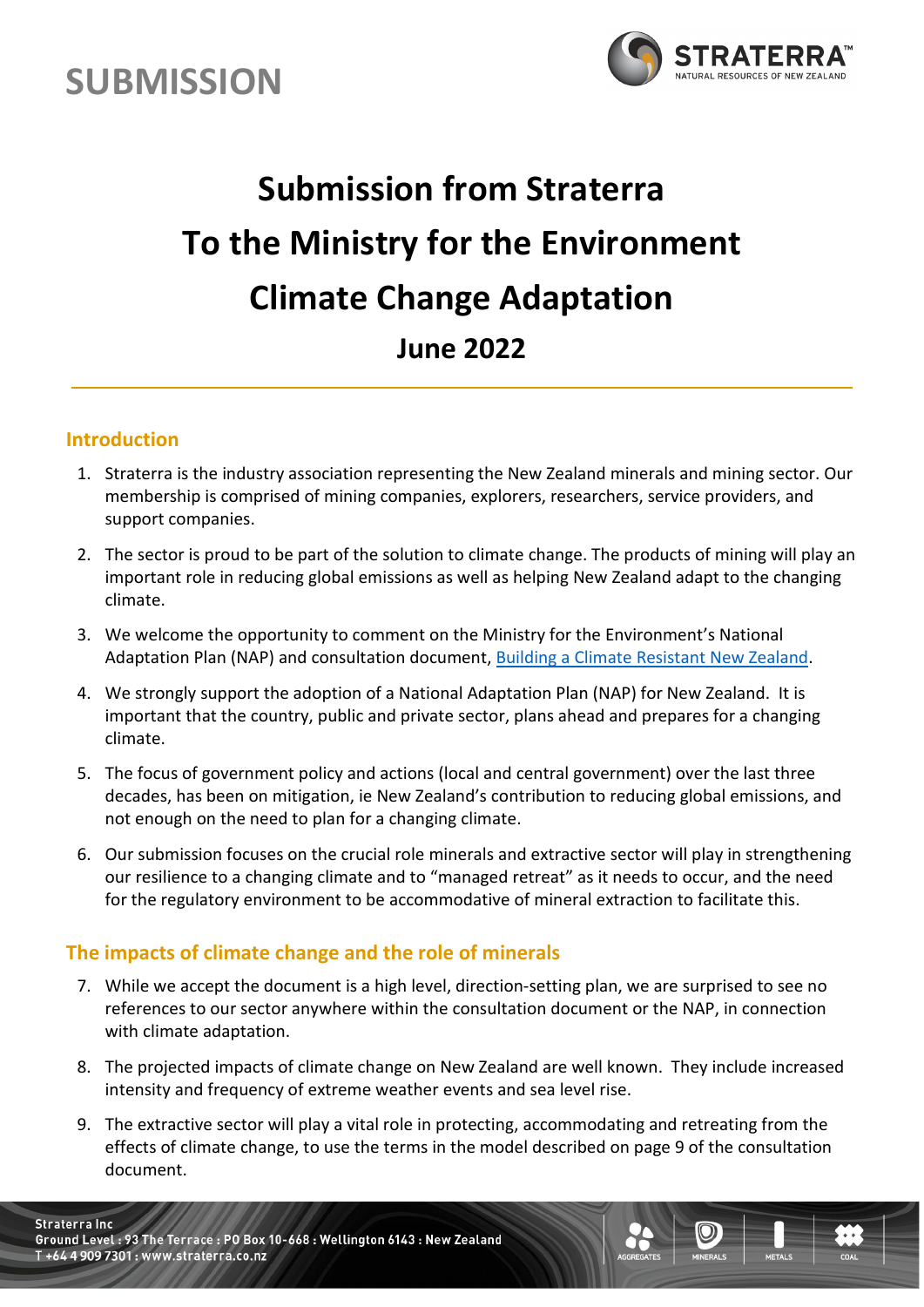



# **Submission from Straterra To the Ministry for the Environment Climate Change Adaptation June 2022**

#### **Introduction**

- 1. Straterra is the industry association representing the New Zealand minerals and mining sector. Our membership is comprised of mining companies, explorers, researchers, service providers, and support companies.
- 2. The sector is proud to be part of the solution to climate change. The products of mining will play an important role in reducing global emissions as well as helping New Zealand adapt to the changing climate.
- 3. We welcome the opportunity to comment on the Ministry for the Environment's National Adaptation Plan (NAP) and consultation document, [Building a Climate Resistant New Zealand.](https://consult.environment.govt.nz/climate/national-adaptation-plan/)
- 4. We strongly support the adoption of a National Adaptation Plan (NAP) for New Zealand. It is important that the country, public and private sector, plans ahead and prepares for a changing climate.
- 5. The focus of government policy and actions (local and central government) over the last three decades, has been on mitigation, ie New Zealand's contribution to reducing global emissions, and not enough on the need to plan for a changing climate.
- 6. Our submission focuses on the crucial role minerals and extractive sector will play in strengthening our resilience to a changing climate and to "managed retreat" as it needs to occur, and the need for the regulatory environment to be accommodative of mineral extraction to facilitate this.

#### **The impacts of climate change and the role of minerals**

- 7. While we accept the document is a high level, direction-setting plan, we are surprised to see no references to our sector anywhere within the consultation document or the NAP, in connection with climate adaptation.
- 8. The projected impacts of climate change on New Zealand are well known. They include increased intensity and frequency of extreme weather events and sea level rise.
- 9. The extractive sector will play a vital role in protecting, accommodating and retreating from the effects of climate change, to use the terms in the model described on page 9 of the consultation document.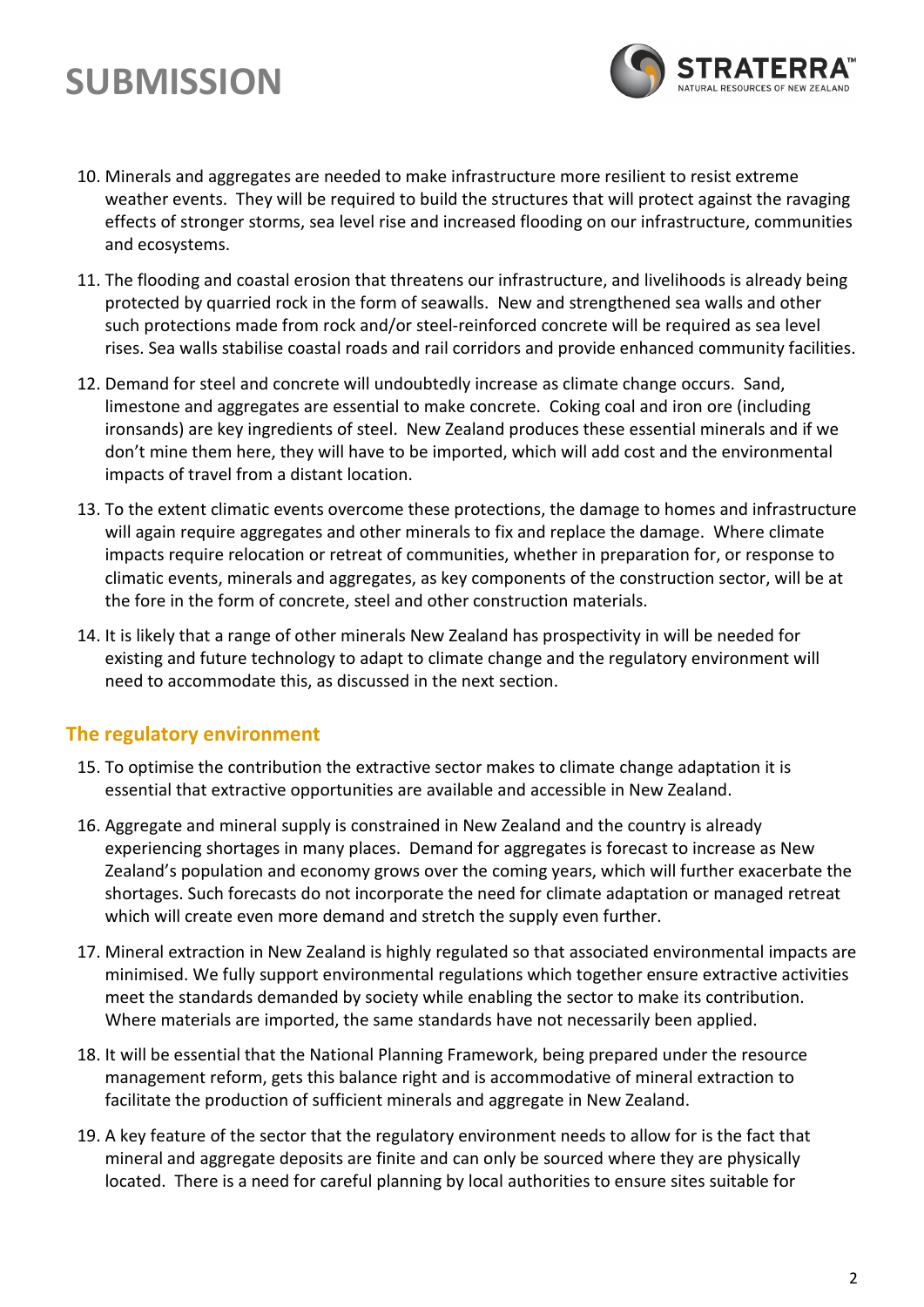## **SUBMISSION**



- 10. Minerals and aggregates are needed to make infrastructure more resilient to resist extreme weather events. They will be required to build the structures that will protect against the ravaging effects of stronger storms, sea level rise and increased flooding on our infrastructure, communities and ecosystems.
- 11. The flooding and coastal erosion that threatens our infrastructure, and livelihoods is already being protected by quarried rock in the form of seawalls. New and strengthened sea walls and other such protections made from rock and/or steel-reinforced concrete will be required as sea level rises. Sea walls stabilise coastal roads and rail corridors and provide enhanced community facilities.
- 12. Demand for steel and concrete will undoubtedly increase as climate change occurs. Sand, limestone and aggregates are essential to make concrete. Coking coal and iron ore (including ironsands) are key ingredients of steel. New Zealand produces these essential minerals and if we don't mine them here, they will have to be imported, which will add cost and the environmental impacts of travel from a distant location.
- 13. To the extent climatic events overcome these protections, the damage to homes and infrastructure will again require aggregates and other minerals to fix and replace the damage. Where climate impacts require relocation or retreat of communities, whether in preparation for, or response to climatic events, minerals and aggregates, as key components of the construction sector, will be at the fore in the form of concrete, steel and other construction materials.
- 14. It is likely that a range of other minerals New Zealand has prospectivity in will be needed for existing and future technology to adapt to climate change and the regulatory environment will need to accommodate this, as discussed in the next section.

#### **The regulatory environment**

- 15. To optimise the contribution the extractive sector makes to climate change adaptation it is essential that extractive opportunities are available and accessible in New Zealand.
- 16. Aggregate and mineral supply is constrained in New Zealand and the country is already experiencing shortages in many places. Demand for aggregates is forecast to increase as New Zealand's population and economy grows over the coming years, which will further exacerbate the shortages. Such forecasts do not incorporate the need for climate adaptation or managed retreat which will create even more demand and stretch the supply even further.
- 17. Mineral extraction in New Zealand is highly regulated so that associated environmental impacts are minimised. We fully support environmental regulations which together ensure extractive activities meet the standards demanded by society while enabling the sector to make its contribution. Where materials are imported, the same standards have not necessarily been applied.
- 18. It will be essential that the National Planning Framework, being prepared under the resource management reform, gets this balance right and is accommodative of mineral extraction to facilitate the production of sufficient minerals and aggregate in New Zealand.
- 19. A key feature of the sector that the regulatory environment needs to allow for is the fact that mineral and aggregate deposits are finite and can only be sourced where they are physically located. There is a need for careful planning by local authorities to ensure sites suitable for